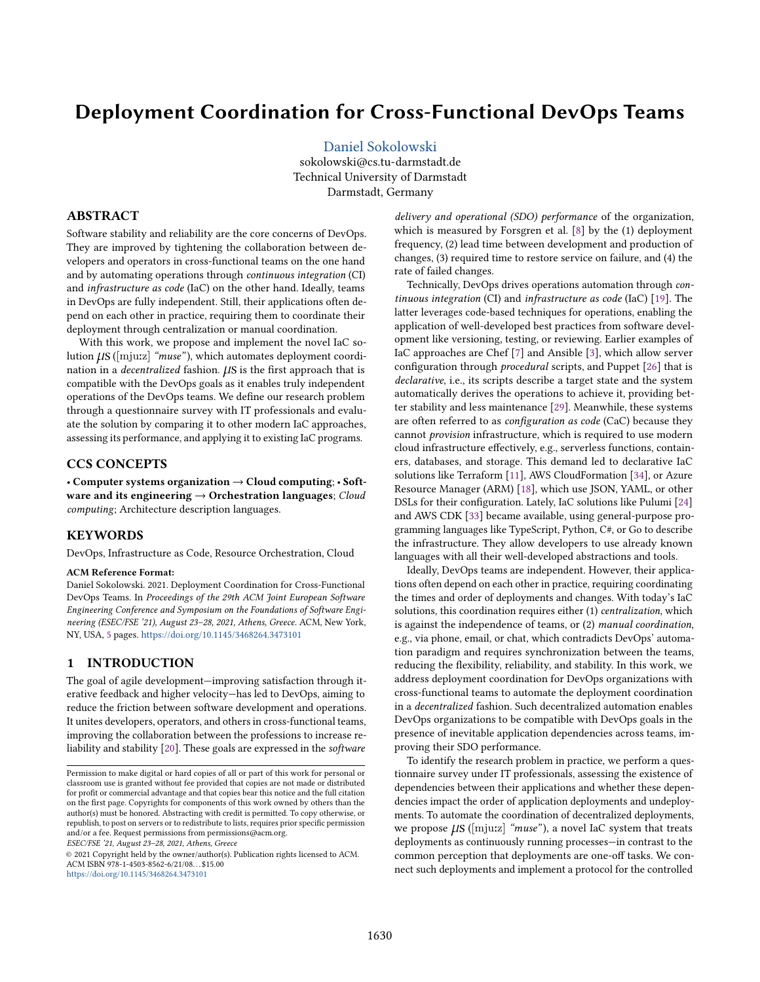# Deployment Coordination for Cross-Functional DevOps Teams

[Daniel Sokolowski](https://orcid.org/0000-0003-2911-8304) sokolowski@cs.tu-darmstadt.de Technical University of Darmstadt Darmstadt, Germany

## ABSTRACT

Software stability and reliability are the core concerns of DevOps. They are improved by tightening the collaboration between developers and operators in cross-functional teams on the one hand and by automating operations through continuous integration (CI) and infrastructure as code (IaC) on the other hand. Ideally, teams in DevOps are fully independent. Still, their applications often depend on each other in practice, requiring them to coordinate their deployment through centralization or manual coordination.

With this work, we propose and implement the novel IaC solution  $\mu$ S ([mju:z] "muse"), which automates deployment coordination in a *decentralized* fashion.  $\mu$ S is the first approach that is compatible with the DevOps goals as it enables truly independent operations of the DevOps teams. We define our research problem through a questionnaire survey with IT professionals and evaluate the solution by comparing it to other modern IaC approaches, assessing its performance, and applying it to existing IaC programs.

## CCS CONCEPTS

· Computer systems organization → Cloud computing; · Software and its engineering  $\rightarrow$  Orchestration languages; Cloud computing; Architecture description languages.

## KEYWORDS

DevOps, Infrastructure as Code, Resource Orchestration, Cloud

#### ACM Reference Format:

Daniel Sokolowski. 2021. Deployment Coordination for Cross-Functional DevOps Teams. In Proceedings of the 29th ACM Joint European Software Engineering Conference and Symposium on the Foundations of Software Engineering (ESEC/FSE '21), August 23-28, 2021, Athens, Greece. ACM, New York, NY, USA, [5](#page-4-0) pages. <https://doi.org/10.1145/3468264.3473101>

## <span id="page-0-0"></span>1 INTRODUCTION

The goal of agile development-improving satisfaction through iterative feedback and higher velocity-has led to DevOps, aiming to reduce the friction between software development and operations. It unites developers, operators, and others in cross-functional teams, improving the collaboration between the professions to increase reliability and stability [\[20\]](#page-4-1). These goals are expressed in the software

ESEC/FSE '21, August 23-28, 2021, Athens, Greece

© 2021 Copyright held by the owner/author(s). Publication rights licensed to ACM. ACM ISBN 978-1-4503-8562-6/21/08. . . \$15.00 <https://doi.org/10.1145/3468264.3473101>

delivery and operational (SDO) performance of the organization, which is measured by Forsgren et al. [\[8\]](#page-4-2) by the (1) deployment frequency, (2) lead time between development and production of changes, (3) required time to restore service on failure, and (4) the rate of failed changes.

Technically, DevOps drives operations automation through continuous integration (CI) and infrastructure as code (IaC) [\[19\]](#page-4-3). The latter leverages code-based techniques for operations, enabling the application of well-developed best practices from software development like versioning, testing, or reviewing. Earlier examples of IaC approaches are Chef [\[7\]](#page-4-4) and Ansible [\[3\]](#page-4-5), which allow server configuration through procedural scripts, and Puppet [\[26\]](#page-4-6) that is declarative, i.e., its scripts describe a target state and the system automatically derives the operations to achieve it, providing better stability and less maintenance [\[29\]](#page-4-7). Meanwhile, these systems are often referred to as configuration as code (CaC) because they cannot provision infrastructure, which is required to use modern cloud infrastructure effectively, e.g., serverless functions, containers, databases, and storage. This demand led to declarative IaC solutions like Terraform [\[11\]](#page-4-8), AWS CloudFormation [\[34\]](#page-4-9), or Azure Resource Manager (ARM) [\[18\]](#page-4-10), which use JSON, YAML, or other DSLs for their configuration. Lately, IaC solutions like Pulumi [\[24\]](#page-4-11) and AWS CDK [\[33\]](#page-4-12) became available, using general-purpose programming languages like TypeScript, Python, C#, or Go to describe the infrastructure. They allow developers to use already known languages with all their well-developed abstractions and tools.

Ideally, DevOps teams are independent. However, their applications often depend on each other in practice, requiring coordinating the times and order of deployments and changes. With today's IaC solutions, this coordination requires either (1) centralization, which is against the independence of teams, or (2) manual coordination, e.g., via phone, email, or chat, which contradicts DevOps' automation paradigm and requires synchronization between the teams, reducing the flexibility, reliability, and stability. In this work, we address deployment coordination for DevOps organizations with cross-functional teams to automate the deployment coordination in a decentralized fashion. Such decentralized automation enables DevOps organizations to be compatible with DevOps goals in the presence of inevitable application dependencies across teams, improving their SDO performance.

To identify the research problem in practice, we perform a questionnaire survey under IT professionals, assessing the existence of dependencies between their applications and whether these dependencies impact the order of application deployments and undeployments. To automate the coordination of decentralized deployments, we propose  $\mu$ S ([mju:z] "muse"), a novel IaC system that treats deployments as continuously running processes-in contrast to the common perception that deployments are one-off tasks. We connect such deployments and implement a protocol for the controlled

Permission to make digital or hard copies of all or part of this work for personal or classroom use is granted without fee provided that copies are not made or distributed for profit or commercial advantage and that copies bear this notice and the full citation on the first page. Copyrights for components of this work owned by others than the author(s) must be honored. Abstracting with credit is permitted. To copy otherwise, or republish, to post on servers or to redistribute to lists, requires prior specific permission and/or a fee. Request permissions from permissions@acm.org.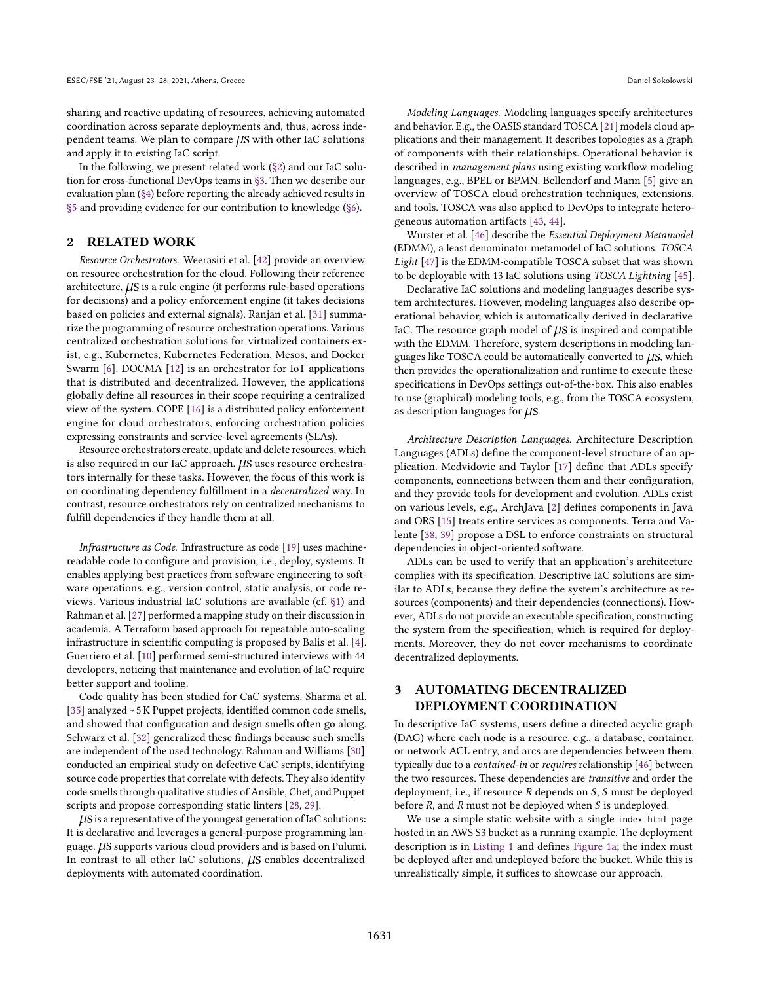sharing and reactive updating of resources, achieving automated coordination across separate deployments and, thus, across independent teams. We plan to compare  $\mu$ S with other IaC solutions and apply it to existing IaC script.

In the following, we present related work [\(ğ2\)](#page-1-0) and our IaC solution for cross-functional DevOps teams in [ğ3.](#page-1-1) Then we describe our evaluation plan [\(ğ4\)](#page-3-0) before reporting the already achieved results in [ğ5](#page-3-1) and providing evidence for our contribution to knowledge [\(ğ6\)](#page-3-2).

## <span id="page-1-0"></span>2 RELATED WORK

Resource Orchestrators. Weerasiri et al. [\[42\]](#page-4-13) provide an overview on resource orchestration for the cloud. Following their reference architecture,  $\mu$ S is a rule engine (it performs rule-based operations for decisions) and a policy enforcement engine (it takes decisions based on policies and external signals). Ranjan et al. [\[31\]](#page-4-14) summarize the programming of resource orchestration operations. Various centralized orchestration solutions for virtualized containers exist, e.g., Kubernetes, Kubernetes Federation, Mesos, and Docker Swarm [\[6\]](#page-4-15). DOCMA [\[12\]](#page-4-16) is an orchestrator for IoT applications that is distributed and decentralized. However, the applications globally define all resources in their scope requiring a centralized view of the system. COPE [\[16\]](#page-4-17) is a distributed policy enforcement engine for cloud orchestrators, enforcing orchestration policies expressing constraints and service-level agreements (SLAs).

Resource orchestrators create, update and delete resources, which is also required in our IaC approach.  $\mu$ S uses resource orchestrators internally for these tasks. However, the focus of this work is on coordinating dependency fulfillment in a decentralized way. In contrast, resource orchestrators rely on centralized mechanisms to fulfill dependencies if they handle them at all.

Infrastructure as Code. Infrastructure as code [\[19\]](#page-4-3) uses machinereadable code to configure and provision, i.e., deploy, systems. It enables applying best practices from software engineering to software operations, e.g., version control, static analysis, or code reviews. Various industrial IaC solutions are available (cf. [ğ1\)](#page-0-0) and Rahman et al. [\[27\]](#page-4-18) performed a mapping study on their discussion in academia. A Terraform based approach for repeatable auto-scaling infrastructure in scientific computing is proposed by Balis et al. [\[4\]](#page-4-19). Guerriero et al. [\[10\]](#page-4-20) performed semi-structured interviews with 44 developers, noticing that maintenance and evolution of IaC require better support and tooling.

Code quality has been studied for CaC systems. Sharma et al. [\[35\]](#page-4-21) analyzed ~ 5 K Puppet projects, identified common code smells, and showed that configuration and design smells often go along. Schwarz et al. [\[32\]](#page-4-22) generalized these findings because such smells are independent of the used technology. Rahman and Williams [\[30\]](#page-4-23) conducted an empirical study on defective CaC scripts, identifying source code properties that correlate with defects. They also identify code smells through qualitative studies of Ansible, Chef, and Puppet scripts and propose corresponding static linters [\[28,](#page-4-24) [29\]](#page-4-7).

 $\mu$ S is a representative of the youngest generation of IaC solutions: It is declarative and leverages a general-purpose programming language.  $\mu$ S supports various cloud providers and is based on Pulumi. In contrast to all other IaC solutions,  $\mu$ S enables decentralized deployments with automated coordination.

Modeling Languages. Modeling languages specify architectures and behavior. E.g., the OASIS standard TOSCA [\[21\]](#page-4-25) models cloud applications and their management. It describes topologies as a graph of components with their relationships. Operational behavior is described in management plans using existing workflow modeling languages, e.g., BPEL or BPMN. Bellendorf and Mann [\[5\]](#page-4-26) give an overview of TOSCA cloud orchestration techniques, extensions, and tools. TOSCA was also applied to DevOps to integrate heterogeneous automation artifacts [\[43,](#page-4-27) [44\]](#page-4-28).

Wurster et al. [\[46\]](#page-4-29) describe the Essential Deployment Metamodel (EDMM), a least denominator metamodel of IaC solutions. TOSCA Light [\[47\]](#page-4-30) is the EDMM-compatible TOSCA subset that was shown to be deployable with 13 IaC solutions using TOSCA Lightning [\[45\]](#page-4-31).

Declarative IaC solutions and modeling languages describe system architectures. However, modeling languages also describe operational behavior, which is automatically derived in declarative IaC. The resource graph model of  $\mu$ S is inspired and compatible with the EDMM. Therefore, system descriptions in modeling languages like TOSCA could be automatically converted to  $\mu$ S, which then provides the operationalization and runtime to execute these specifications in DevOps settings out-of-the-box. This also enables to use (graphical) modeling tools, e.g., from the TOSCA ecosystem, as description languages for  $\mu$ S.

Architecture Description Languages. Architecture Description Languages (ADLs) define the component-level structure of an application. Medvidovic and Taylor [\[17\]](#page-4-32) define that ADLs specify components, connections between them and their configuration, and they provide tools for development and evolution. ADLs exist on various levels, e.g., ArchJava [\[2\]](#page-4-33) defines components in Java and ORS [\[15\]](#page-4-34) treats entire services as components. Terra and Valente [\[38,](#page-4-35) [39\]](#page-4-36) propose a DSL to enforce constraints on structural dependencies in object-oriented software.

ADLs can be used to verify that an application's architecture complies with its specification. Descriptive IaC solutions are similar to ADLs, because they define the system's architecture as resources (components) and their dependencies (connections). However, ADLs do not provide an executable specification, constructing the system from the specification, which is required for deployments. Moreover, they do not cover mechanisms to coordinate decentralized deployments.

# <span id="page-1-1"></span>3 AUTOMATING DECENTRALIZED DEPLOYMENT COORDINATION

In descriptive IaC systems, users define a directed acyclic graph (DAG) where each node is a resource, e.g., a database, container, or network ACL entry, and arcs are dependencies between them, typically due to a contained-in or requires relationship [\[46\]](#page-4-29) between the two resources. These dependencies are transitive and order the deployment, i.e., if resource  $R$  depends on  $S$ ,  $S$  must be deployed before  $R$ , and  $R$  must not be deployed when  $S$  is undeployed.

We use a simple static website with a single index.html page hosted in an AWS S3 bucket as a running example. The deployment description is in [Listing 1](#page-2-0) and defines [Figure 1a;](#page-2-1) the index must be deployed after and undeployed before the bucket. While this is unrealistically simple, it suffices to showcase our approach.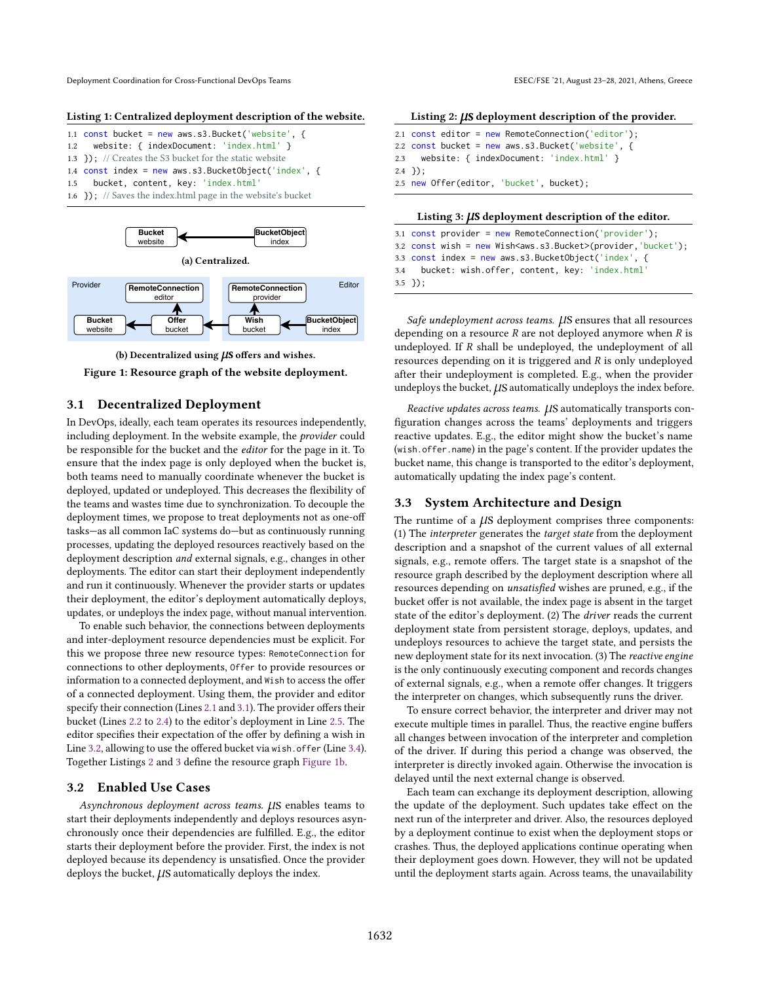Deployment Coordination for Cross-Functional DevOps Teams ESEC/FSE '21, August 23-28, 2021, Athens, Greece

#### <span id="page-2-0"></span>Listing 1: Centralized deployment description of the website.

| 1.1 const bucket = new aws.s3.Bucket('website', {               |
|-----------------------------------------------------------------|
| 1.2 website: { indexDocument: 'index.html' }                    |
| 1.3 $\}$ : // Creates the S3 bucket for the static website      |
| 1.4 const index = new aws.s3.BucketObject('index', {            |
| 1.5 bucket, content, key: 'index.html'                          |
| 1.6 $\}$ ; // Saves the index.html page in the website's bucket |

<span id="page-2-1"></span>



Figure 1: Resource graph of the website deployment.

#### 3.1 Decentralized Deployment

In DevOps, ideally, each team operates its resources independently, including deployment. In the website example, the provider could be responsible for the bucket and the editor for the page in it. To ensure that the index page is only deployed when the bucket is, both teams need to manually coordinate whenever the bucket is deployed, updated or undeployed. This decreases the flexibility of the teams and wastes time due to synchronization. To decouple the deployment times, we propose to treat deployments not as one-off tasks-as all common IaC systems do-but as continuously running processes, updating the deployed resources reactively based on the deployment description and external signals, e.g., changes in other deployments. The editor can start their deployment independently and run it continuously. Whenever the provider starts or updates their deployment, the editor's deployment automatically deploys, updates, or undeploys the index page, without manual intervention.

To enable such behavior, the connections between deployments and inter-deployment resource dependencies must be explicit. For this we propose three new resource types: RemoteConnection for connections to other deployments, Offer to provide resources or information to a connected deployment, and Wish to access the offer of a connected deployment. Using them, the provider and editor specify their connection (Lines [2.1](#page-2-2) and [3.1\)](#page-2-3). The provider offers their bucket (Lines [2.2](#page-2-4) to [2.4\)](#page-2-5) to the editor's deployment in Line [2.5.](#page-2-6) The editor specifies their expectation of the offer by defining a wish in Line [3.2,](#page-2-7) allowing to use the offered bucket via wish.offer (Line [3.4\)](#page-2-8). Together Listings [2](#page-2-9) and [3](#page-2-10) define the resource graph [Figure 1b.](#page-2-1)

#### 3.2 Enabled Use Cases

Asynchronous deployment across teams.  $\mu$ S enables teams to start their deployments independently and deploys resources asynchronously once their dependencies are fulfilled. E.g., the editor starts their deployment before the provider. First, the index is not deployed because its dependency is unsatisfied. Once the provider deploys the bucket,  $\mu$ S automatically deploys the index.

<span id="page-2-9"></span>

| Listing $2: \mu S$ deployment description of the provider. |  |  |
|------------------------------------------------------------|--|--|

<span id="page-2-5"></span><span id="page-2-4"></span><span id="page-2-2"></span>

| 2.1 $const$ editor = new RemoteConnection('editor'); |
|------------------------------------------------------|
| 2.2 $const$ bucket = new aws.s3.Bucket('website', {  |
| 2.3 website: { indexDocument: 'index.html' }         |
| $2.4$ });                                            |
| 2.5 new Offer(editor, 'bucket', bucket);             |
|                                                      |

<span id="page-2-10"></span><span id="page-2-6"></span>

<span id="page-2-7"></span><span id="page-2-3"></span>3.1 const provider = new RemoteConnection('provider'); 3.2 const wish = new Wish<aws.s3.Bucket>(provider, 'bucket'); 3.3 const index = new aws.s3.BucketObject('index', { 3.4 bucket: wish.offer, content, key: 'index.html'

<span id="page-2-8"></span>3.5 });

Safe undeployment across teams.  $\mu$ S ensures that all resources depending on a resource  $R$  are not deployed anymore when  $R$  is undeployed. If  $R$  shall be undeployed, the undeployment of all resources depending on it is triggered and  $R$  is only undeployed after their undeployment is completed. E.g., when the provider undeploys the bucket,  $\mu$ S automatically undeploys the index before.

Reactive updates across teams.  $\mu$ S automatically transports configuration changes across the teams' deployments and triggers reactive updates. E.g., the editor might show the bucket's name (wish.offer.name) in the page's content. If the provider updates the bucket name, this change is transported to the editor's deployment, automatically updating the index page's content.

### 3.3 System Architecture and Design

The runtime of a  $\mu$ S deployment comprises three components: (1) The interpreter generates the target state from the deployment description and a snapshot of the current values of all external signals, e.g., remote offers. The target state is a snapshot of the resource graph described by the deployment description where all resources depending on unsatisfied wishes are pruned, e.g., if the bucket offer is not available, the index page is absent in the target state of the editor's deployment. (2) The driver reads the current deployment state from persistent storage, deploys, updates, and undeploys resources to achieve the target state, and persists the new deployment state for its next invocation. (3) The reactive engine is the only continuously executing component and records changes of external signals, e.g., when a remote offer changes. It triggers the interpreter on changes, which subsequently runs the driver.

To ensure correct behavior, the interpreter and driver may not execute multiple times in parallel. Thus, the reactive engine buffers all changes between invocation of the interpreter and completion of the driver. If during this period a change was observed, the interpreter is directly invoked again. Otherwise the invocation is delayed until the next external change is observed.

Each team can exchange its deployment description, allowing the update of the deployment. Such updates take effect on the next run of the interpreter and driver. Also, the resources deployed by a deployment continue to exist when the deployment stops or crashes. Thus, the deployed applications continue operating when their deployment goes down. However, they will not be updated until the deployment starts again. Across teams, the unavailability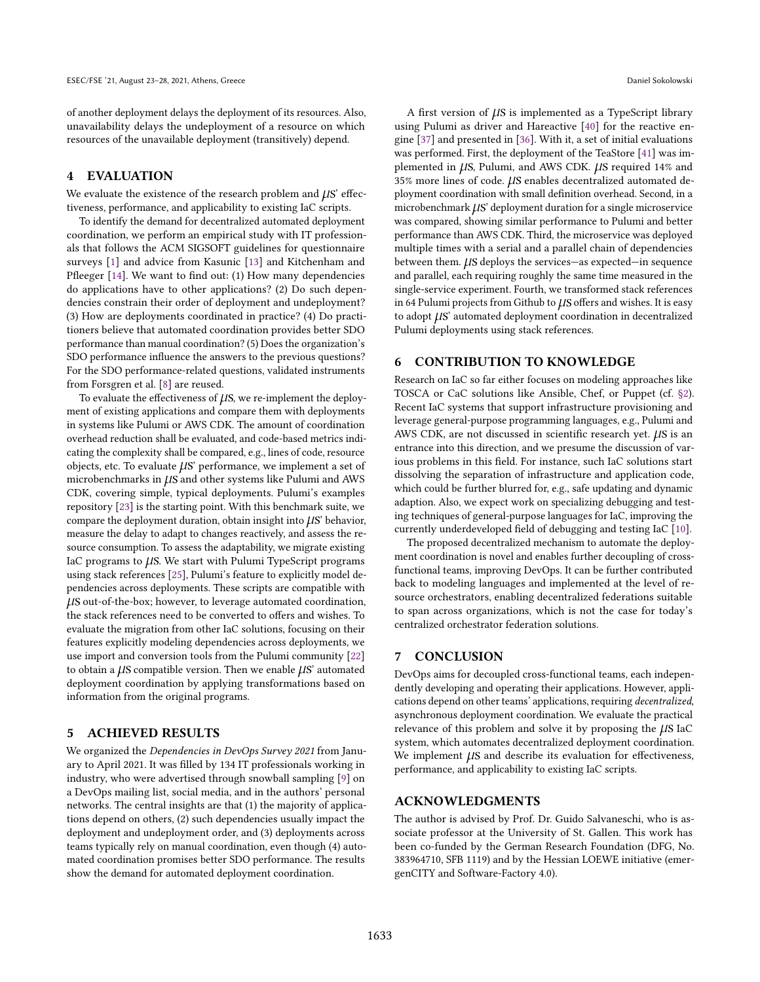of another deployment delays the deployment of its resources. Also, unavailability delays the undeployment of a resource on which resources of the unavailable deployment (transitively) depend.

## <span id="page-3-0"></span>4 EVALUATION

We evaluate the existence of the research problem and  $\mu$ S' effectiveness, performance, and applicability to existing IaC scripts.

To identify the demand for decentralized automated deployment coordination, we perform an empirical study with IT professionals that follows the ACM SIGSOFT guidelines for questionnaire surveys [\[1\]](#page-4-37) and advice from Kasunic [\[13\]](#page-4-38) and Kitchenham and Pfleeger [\[14\]](#page-4-39). We want to find out: (1) How many dependencies do applications have to other applications? (2) Do such dependencies constrain their order of deployment and undeployment? (3) How are deployments coordinated in practice? (4) Do practitioners believe that automated coordination provides better SDO performance than manual coordination? (5) Does the organization's SDO performance influence the answers to the previous questions? For the SDO performance-related questions, validated instruments from Forsgren et al. [\[8\]](#page-4-2) are reused.

To evaluate the effectiveness of  $\mu$ S, we re-implement the deployment of existing applications and compare them with deployments in systems like Pulumi or AWS CDK. The amount of coordination overhead reduction shall be evaluated, and code-based metrics indicating the complexity shall be compared, e.g., lines of code, resource objects, etc. To evaluate  $\mu$ S' performance, we implement a set of microbenchmarks in  $\mu$ S and other systems like Pulumi and AWS CDK, covering simple, typical deployments. Pulumi's examples repository [\[23\]](#page-4-40) is the starting point. With this benchmark suite, we compare the deployment duration, obtain insight into  $\mu$ S' behavior, measure the delay to adapt to changes reactively, and assess the resource consumption. To assess the adaptability, we migrate existing IaC programs to  $\mu$ S. We start with Pulumi TypeScript programs using stack references [\[25\]](#page-4-41), Pulumi's feature to explicitly model dependencies across deployments. These scripts are compatible with µs out-of-the-box; however, to leverage automated coordination, the stack references need to be converted to offers and wishes. To evaluate the migration from other IaC solutions, focusing on their features explicitly modeling dependencies across deployments, we use import and conversion tools from the Pulumi community [\[22\]](#page-4-42) to obtain a  $\mu$ S compatible version. Then we enable  $\mu$ S' automated deployment coordination by applying transformations based on information from the original programs.

## <span id="page-3-1"></span>5 ACHIEVED RESULTS

We organized the Dependencies in DevOps Survey 2021 from January to April 2021. It was filled by 134 IT professionals working in industry, who were advertised through snowball sampling [\[9\]](#page-4-43) on a DevOps mailing list, social media, and in the authors' personal networks. The central insights are that (1) the majority of applications depend on others, (2) such dependencies usually impact the deployment and undeployment order, and (3) deployments across teams typically rely on manual coordination, even though (4) automated coordination promises better SDO performance. The results show the demand for automated deployment coordination.

A first version of  $\mu$ S is implemented as a TypeScript library using Pulumi as driver and Hareactive [\[40\]](#page-4-44) for the reactive engine [\[37\]](#page-4-45) and presented in [\[36\]](#page-4-46). With it, a set of initial evaluations was performed. First, the deployment of the TeaStore [\[41\]](#page-4-47) was implemented in  $\mu$ S, Pulumi, and AWS CDK.  $\mu$ S required 14% and 35% more lines of code.  $\mu$ S enables decentralized automated deployment coordination with small definition overhead. Second, in a microbenchmark  $\mu$ S' deployment duration for a single microservice was compared, showing similar performance to Pulumi and better performance than AWS CDK. Third, the microservice was deployed multiple times with a serial and a parallel chain of dependencies between them.  $\mu$ S deploys the services—as expected—in sequence and parallel, each requiring roughly the same time measured in the single-service experiment. Fourth, we transformed stack references in 64 Pulumi projects from Github to  $\mu$ S offers and wishes. It is easy to adopt  $\mu$ S' automated deployment coordination in decentralized Pulumi deployments using stack references.

## <span id="page-3-2"></span>6 CONTRIBUTION TO KNOWLEDGE

Research on IaC so far either focuses on modeling approaches like TOSCA or CaC solutions like Ansible, Chef, or Puppet (cf. [ğ2\)](#page-1-0). Recent IaC systems that support infrastructure provisioning and leverage general-purpose programming languages, e.g., Pulumi and AWS CDK, are not discussed in scientific research yet.  $\mu$ S is an entrance into this direction, and we presume the discussion of various problems in this field. For instance, such IaC solutions start dissolving the separation of infrastructure and application code, which could be further blurred for, e.g., safe updating and dynamic adaption. Also, we expect work on specializing debugging and testing techniques of general-purpose languages for IaC, improving the currently underdeveloped field of debugging and testing IaC [\[10\]](#page-4-20).

The proposed decentralized mechanism to automate the deployment coordination is novel and enables further decoupling of crossfunctional teams, improving DevOps. It can be further contributed back to modeling languages and implemented at the level of resource orchestrators, enabling decentralized federations suitable to span across organizations, which is not the case for today's centralized orchestrator federation solutions.

#### 7 CONCLUSION

DevOps aims for decoupled cross-functional teams, each independently developing and operating their applications. However, applications depend on other teams' applications, requiring decentralized, asynchronous deployment coordination. We evaluate the practical relevance of this problem and solve it by proposing the  $\mu$ S IaC system, which automates decentralized deployment coordination. We implement  $\mu$ S and describe its evaluation for effectiveness, performance, and applicability to existing IaC scripts.

## ACKNOWLEDGMENTS

The author is advised by Prof. Dr. Guido Salvaneschi, who is associate professor at the University of St. Gallen. This work has been co-funded by the German Research Foundation (DFG, No. 383964710, SFB 1119) and by the Hessian LOEWE initiative (emergenCITY and Software-Factory 4.0).